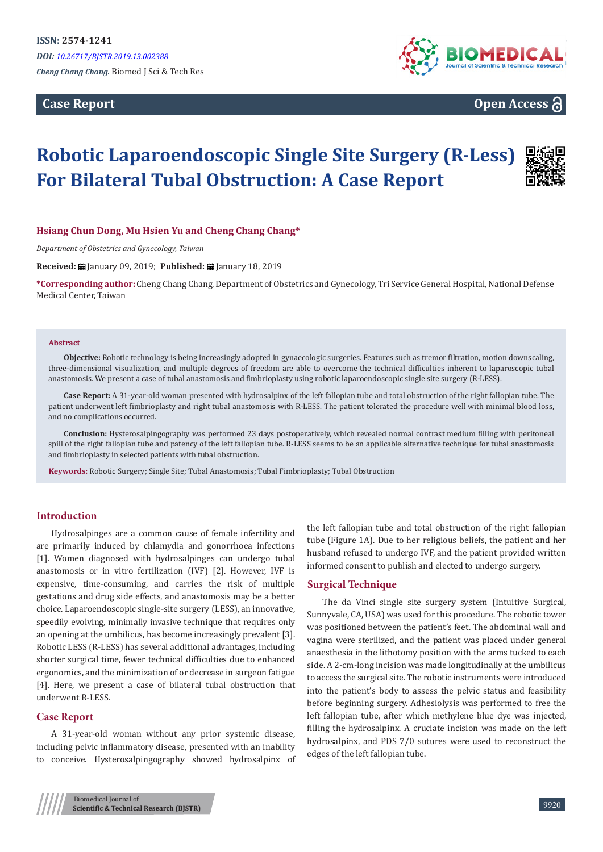**Case Report** 



**Open Access**

# **Robotic Laparoendoscopic Single Site Surgery (R-Less) For Bilateral Tubal Obstruction: A Case Report**



### **Hsiang Chun Dong, Mu Hsien Yu and Cheng Chang Chang\***

*Department of Obstetrics and Gynecology, Taiwan*

**Received:** ■ January 09, 2019; **Published:** ■ January 18, 2019

**\*Corresponding author:** Cheng Chang Chang, Department of Obstetrics and Gynecology, Tri Service General Hospital, National Defense Medical Center, Taiwan

#### **Abstract**

**Objective:** Robotic technology is being increasingly adopted in gynaecologic surgeries. Features such as tremor filtration, motion downscaling, three-dimensional visualization, and multiple degrees of freedom are able to overcome the technical difficulties inherent to laparoscopic tubal anastomosis. We present a case of tubal anastomosis and fimbrioplasty using robotic laparoendoscopic single site surgery (R-LESS).

**Case Report:** A 31-year-old woman presented with hydrosalpinx of the left fallopian tube and total obstruction of the right fallopian tube. The patient underwent left fimbrioplasty and right tubal anastomosis with R-LESS. The patient tolerated the procedure well with minimal blood loss, and no complications occurred.

**Conclusion:** Hysterosalpingography was performed 23 days postoperatively, which revealed normal contrast medium filling with peritoneal spill of the right fallopian tube and patency of the left fallopian tube. R-LESS seems to be an applicable alternative technique for tubal anastomosis and fimbrioplasty in selected patients with tubal obstruction.

**Keywords:** Robotic Surgery; Single Site; Tubal Anastomosis; Tubal Fimbrioplasty; Tubal Obstruction

#### **Introduction**

Hydrosalpinges are a common cause of female infertility and are primarily induced by chlamydia and gonorrhoea infections [1]. Women diagnosed with hydrosalpinges can undergo tubal anastomosis or in vitro fertilization (IVF) [2]. However, IVF is expensive, time-consuming, and carries the risk of multiple gestations and drug side effects, and anastomosis may be a better choice. Laparoendoscopic single-site surgery (LESS), an innovative, speedily evolving, minimally invasive technique that requires only an opening at the umbilicus, has become increasingly prevalent [3]. Robotic LESS (R-LESS) has several additional advantages, including shorter surgical time, fewer technical difficulties due to enhanced ergonomics, and the minimization of or decrease in surgeon fatigue [4]. Here, we present a case of bilateral tubal obstruction that underwent R-LESS.

#### **Case Report**

A 31-year-old woman without any prior systemic disease, including pelvic inflammatory disease, presented with an inability to conceive. Hysterosalpingography showed hydrosalpinx of the left fallopian tube and total obstruction of the right fallopian tube (Figure 1A). Due to her religious beliefs, the patient and her husband refused to undergo IVF, and the patient provided written informed consent to publish and elected to undergo surgery.

#### **Surgical Technique**

The da Vinci single site surgery system (Intuitive Surgical, Sunnyvale, CA, USA) was used for this procedure. The robotic tower was positioned between the patient's feet. The abdominal wall and vagina were sterilized, and the patient was placed under general anaesthesia in the lithotomy position with the arms tucked to each side. A 2-cm-long incision was made longitudinally at the umbilicus to access the surgical site. The robotic instruments were introduced into the patient's body to assess the pelvic status and feasibility before beginning surgery. Adhesiolysis was performed to free the left fallopian tube, after which methylene blue dye was injected, filling the hydrosalpinx. A cruciate incision was made on the left hydrosalpinx, and PDS 7/0 sutures were used to reconstruct the edges of the left fallopian tube.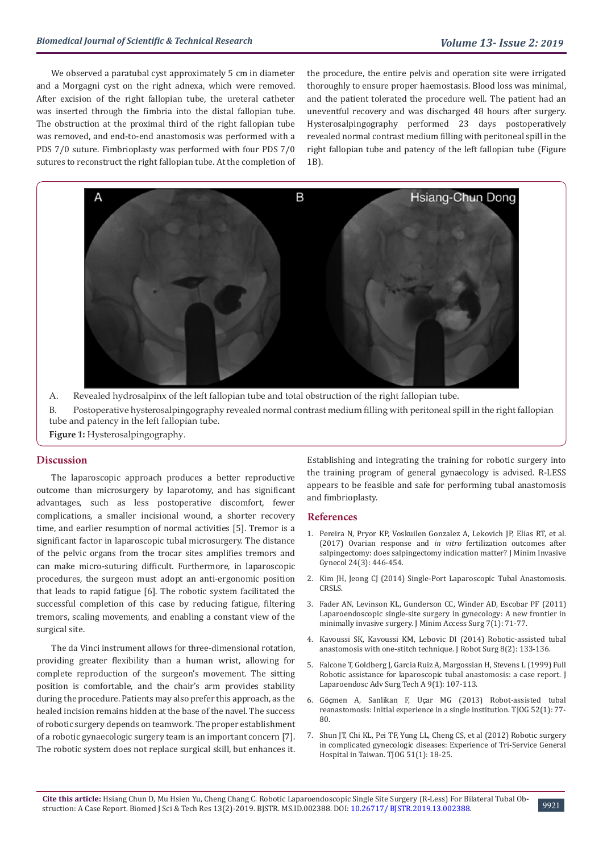We observed a paratubal cyst approximately 5 cm in diameter and a Morgagni cyst on the right adnexa, which were removed. After excision of the right fallopian tube, the ureteral catheter was inserted through the fimbria into the distal fallopian tube. The obstruction at the proximal third of the right fallopian tube was removed, and end-to-end anastomosis was performed with a PDS 7/0 suture. Fimbrioplasty was performed with four PDS 7/0 sutures to reconstruct the right fallopian tube. At the completion of the procedure, the entire pelvis and operation site were irrigated thoroughly to ensure proper haemostasis. Blood loss was minimal, and the patient tolerated the procedure well. The patient had an uneventful recovery and was discharged 48 hours after surgery. Hysterosalpingography performed 23 days postoperatively revealed normal contrast medium filling with peritoneal spill in the right fallopian tube and patency of the left fallopian tube (Figure 1B).



A. Revealed hydrosalpinx of the left fallopian tube and total obstruction of the right fallopian tube. B. Postoperative hysterosalpingography revealed normal contrast medium filling with peritoneal spill in the right fallopian tube and patency in the left fallopian tube.

**Figure 1:** Hysterosalpingography.

### **Discussion**

The laparoscopic approach produces a better reproductive outcome than microsurgery by laparotomy, and has significant advantages, such as less postoperative discomfort, fewer complications, a smaller incisional wound, a shorter recovery time, and earlier resumption of normal activities [5]. Tremor is a significant factor in laparoscopic tubal microsurgery. The distance of the pelvic organs from the trocar sites amplifies tremors and can make micro-suturing difficult. Furthermore, in laparoscopic procedures, the surgeon must adopt an anti-ergonomic position that leads to rapid fatigue [6]. The robotic system facilitated the successful completion of this case by reducing fatigue, filtering tremors, scaling movements, and enabling a constant view of the surgical site.

The da Vinci instrument allows for three-dimensional rotation, providing greater flexibility than a human wrist, allowing for complete reproduction of the surgeon's movement. The sitting position is comfortable, and the chair's arm provides stability during the procedure. Patients may also prefer this approach, as the healed incision remains hidden at the base of the navel. The success of robotic surgery depends on teamwork. The proper establishment of a robotic gynaecologic surgery team is an important concern [7]. The robotic system does not replace surgical skill, but enhances it.

Establishing and integrating the training for robotic surgery into the training program of general gynaecology is advised. R-LESS appears to be feasible and safe for performing tubal anastomosis and fimbrioplasty.

#### **References**

- 1. [Pereira N, Pryor KP, Voskuilen Gonzalez A, Lekovich JP, Elias RT, et al.](https://www.ncbi.nlm.nih.gov/pubmed/28069482) [\(2017\) Ovarian response and](https://www.ncbi.nlm.nih.gov/pubmed/28069482) *in vitro* fertilization outcomes after [salpingectomy: does salpingectomy indication matter? J Minim Invasive](https://www.ncbi.nlm.nih.gov/pubmed/28069482) [Gynecol 24\(3\): 446-454.](https://www.ncbi.nlm.nih.gov/pubmed/28069482)
- 2. [Kim JH, Jeong CJ \(2014\) Single-Port Laparoscopic Tubal Anastomosis.](http://crsls.sls.org/2014-00142/) [CRSLS.](http://crsls.sls.org/2014-00142/)
- 3. [Fader AN, Levinson KL, Gunderson CC, Winder AD, Escobar PF \(2011\)](https://www.ncbi.nlm.nih.gov/pubmed/21197247) [Laparoendoscopic single-site surgery in gynecology: A new frontier in](https://www.ncbi.nlm.nih.gov/pubmed/21197247) [minimally invasive surgery. J Minim Access Surg 7\(1\): 71-77.](https://www.ncbi.nlm.nih.gov/pubmed/21197247)
- 4. [Kavoussi SK, Kavoussi KM, Lebovic DI \(2014\) Robotic-assisted tubal](https://www.ncbi.nlm.nih.gov/pmc/articles/PMC4328106/) [anastomosis with one-stitch technique. J Robot Surg 8\(2\): 133-136.](https://www.ncbi.nlm.nih.gov/pmc/articles/PMC4328106/)
- 5. [Falcone T, Goldberg J, Garcia Ruiz A, Margossian H, Stevens L \(1999\) Full](https://www.ncbi.nlm.nih.gov/pubmed/10194702) [Robotic assistance for laparoscopic tubal anastomosis: a case report. J](https://www.ncbi.nlm.nih.gov/pubmed/10194702) [Laparoendosc Adv Surg Tech A 9\(1\): 107-113.](https://www.ncbi.nlm.nih.gov/pubmed/10194702)
- 6. Göçmen A, Sanlikan F, Uç[ar MG \(2013\) Robot-assisted tubal](https://www.ncbi.nlm.nih.gov/pubmed/23548223) [reanastomosis: Initial experience in a single institution. TJOG 52\(1\): 77-](https://www.ncbi.nlm.nih.gov/pubmed/23548223) [80.](https://www.ncbi.nlm.nih.gov/pubmed/23548223)
- 7. [Shun JT, Chi KL, Pei TF, Yung LL, Cheng CS, et al \(2012\) Robotic surgery](https://www.ncbi.nlm.nih.gov/pubmed/22482963) [in complicated gynecologic diseases: Experience of Tri-Service General](https://www.ncbi.nlm.nih.gov/pubmed/22482963) [Hospital in Taiwan. TJOG 51\(1\): 18-25.](https://www.ncbi.nlm.nih.gov/pubmed/22482963)